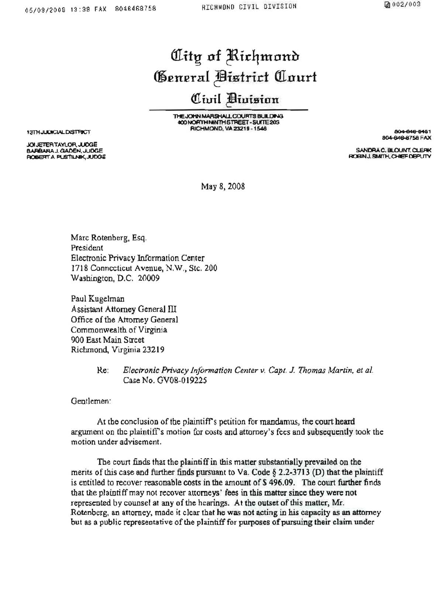## City of Richmond General Bistrict Court

## Civil Division

THE JOHN MARSHALL COURTS BUILDING 400 NORTH NINTH STREET - SUITE 203 RICHMOND, VA 23219 - 1546

804-848-8481 804-646-8758 FAX

SANDRA C. BLOUNT, CLEAK ROBIN J. SMITH, CHIEF DEPUTY

May 8, 2008

Marc Rotenberg, Esq. President Electronic Privacy Information Center 1718 Connecticut Avenue, N.W., Stc. 200 Washington, D.C. 20009

Paul Kugelman Assistant Attorney General III Office of the Attorney General Commonwealth of Virginia 900 East Main Street Richmond, Virginia 23219

> Ke: Electronic Privacy Information Center v. Capt. J. Thomas Martin, et al. Case No. GV08-019225

Gentlemen:

At the conclusion of the plaintiff's petition for mandamus, the court heard argument on the plaintiff's motion for costs and attorney's fees and subsequently took the motion under advisement.

The court finds that the plaintiff in this matter substantially prevailed on the merits of this case and further finds pursuant to Va. Code § 2.2-3713 (D) that the plaintiff is entitled to recover reasonable costs in the amount of \$496.09. The court further finds that the plaintiff may not recover attorneys' fees in this matter since they were not represented by counsel at any of the hearings. At the outset of this matter, Mr. Rotenberg, an attorney, made it clear that he was not acting in his capacity as an attorney but as a public representative of the plaintiff for purposes of pursuing their claim under

13TH JUDICIAL DISTRICT

JOI JETER TAYLOR, JUDGE BARBARA J. GADEN, JUDGE **ROBERT A PUSTILNIK, JUDGE**